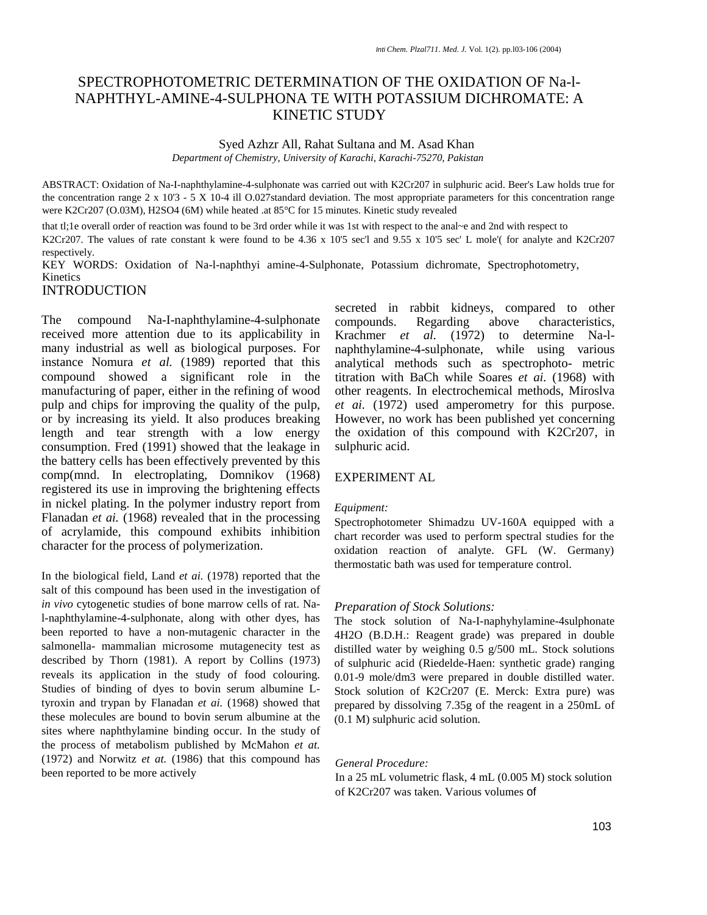# SPECTROPHOTOMETRIC DETERMINATION OF THE OXIDATION OF Na-l-NAPHTHYL-AMINE-4-SULPHONA TE WITH POTASSIUM DICHROMATE: A KINETIC STUDY

## Syed Azhzr All, Rahat Sultana and M. Asad Khan *Department of Chemistry, University of Karachi, Karachi-75270, Pakistan*

ABSTRACT: Oxidation of Na-I-naphthylamine-4-sulphonate was carried out with K2Cr207 in sulphuric acid. Beer's Law holds true for the concentration range 2 x 10'3 - 5 X 10-4 ill O.027standard deviation. The most appropriate parameters for this concentration range were K2Cr207 (O.03M), H2SO4 (6M) while heated .at 85°C for 15 minutes. Kinetic study revealed

that tl;1e overall order of reaction was found to be 3rd order while it was 1st with respect to the anal~e and 2nd with respect to K2Cr207. The values of rate constant k were found to be 4.36 x 10'5 sec'l and 9.55 x 10'5 sec' L mole'( for analyte and K2Cr207 respectively.

KEY WORDS: Oxidation of Na-l-naphthyi amine-4-Sulphonate, Potassium dichromate, Spectrophotometry, **Kinetics** 

## INTRODUCTION

The compound Na-I-naphthylamine-4-sulphonate received more attention due to its applicability in many industrial as well as biological purposes. For instance Nomura *et al.* (1989) reported that this compound showed a significant role in the manufacturing of paper, either in the refining of wood pulp and chips for improving the quality of the pulp, or by increasing its yield. It also produces breaking length and tear strength with a low energy consumption. Fred (1991) showed that the leakage in the battery cells has been effectively prevented by this comp(mnd. In electroplating, Domnikov (1968) registered its use in improving the brightening effects in nickel plating. In the polymer industry report from Flanadan *et ai.* (1968) revealed that in the processing of acrylamide, this compound exhibits inhibition character for the process of polymerization.

In the biological field, Land *et ai.* (1978) reported that the salt of this compound has been used in the investigation of *in vivo* cytogenetic studies of bone marrow cells of rat. Nal-naphthylamine-4-sulphonate, along with other dyes, has been reported to have a non-mutagenic character in the salmonella- mammalian microsome mutagenecity test as described by Thorn (1981). A report by Collins (1973) reveals its application in the study of food colouring. Studies of binding of dyes to bovin serum albumine Ltyroxin and trypan by Flanadan *et ai.* (1968) showed that these molecules are bound to bovin serum albumine at the sites where naphthylamine binding occur. In the study of the process of metabolism published by McMahon *et at.*  (1972) and Norwitz *et at.* (1986) that this compound has been reported to be more actively

secreted in rabbit kidneys, compared to other compounds. Regarding above characteristics, Krachmer *et al.* (1972) to determine Na-lnaphthylamine-4-sulphonate, while using various analytical methods such as spectrophoto- metric titration with BaCh while Soares *et ai.* (1968) with other reagents. In electrochemical methods, Miroslva *et ai.* (1972) used amperometry for this purpose. However, no work has been published yet concerning the oxidation of this compound with K2Cr207, in sulphuric acid.

## EXPERIMENT AL

### *Equipment:*

Spectrophotometer Shimadzu UV-160A equipped with a chart recorder was used to perform spectral studies for the oxidation reaction of analyte. GFL (W. Germany) thermostatic bath was used for temperature control.

#### *Preparation of Stock Solutions:* .

The stock solution of Na-I-naphyhylamine-4sulphonate 4H2O (B.D.H.: Reagent grade) was prepared in double distilled water by weighing 0.5 g/500 mL. Stock solutions of sulphuric acid (Riedelde-Haen: synthetic grade) ranging 0.01-9 mole/dm3 were prepared in double distilled water. Stock solution of K2Cr207 (E. Merck: Extra pure) was prepared by dissolving 7.35g of the reagent in a 250mL of (0.1 M) sulphuric acid solution.

#### *General Procedure:*

In a 25 mL volumetric flask, 4 mL (0.005 M) stock solution of K2Cr207 was taken. Various volumes of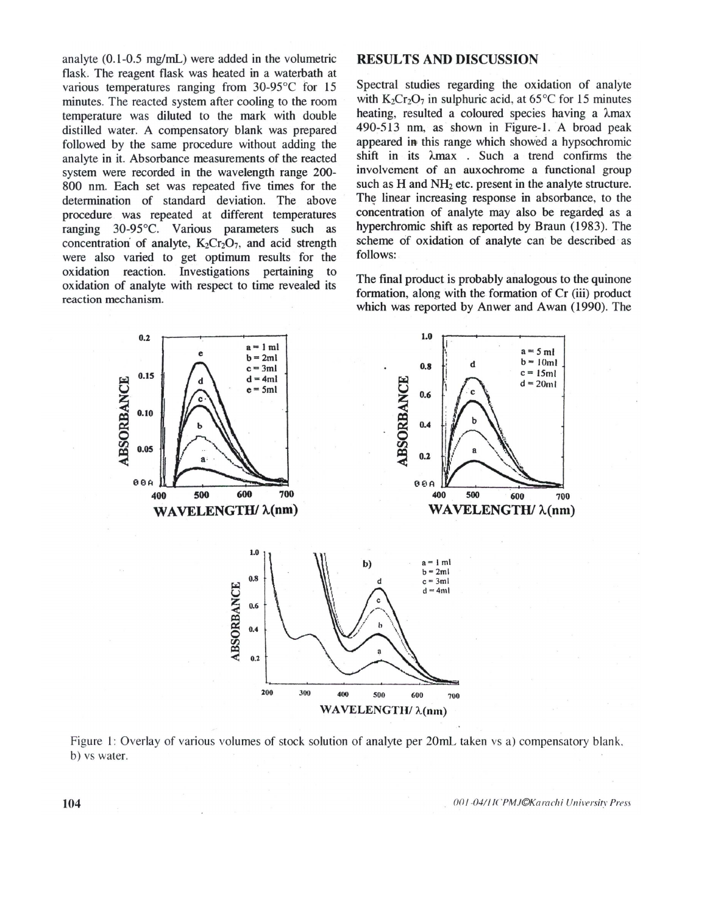analyte  $(0.1-0.5 \text{ mg/mL})$  were added in the volumetric flask. The reagent flask was heated in a waterbath at various temperatures ranging from 30-95°C for 15 minutes. The reacted system after cooling to the room temperature was diluted to the mark with double distilled water. A compensatory blank was prepared followed by the same procedure without adding the analyte in it. Absorbance measurements of the reacted system were recorded in the wavelength range 200-800 nm. Each set was repeated five times for the determination of standard deviation. The above procedure was repeated at different temperatures ranging 30-95°C. Various parameters such as concentration of analyte,  $K_2Cr_2O_7$ , and acid strength were also varied to get optimum results for the oxidation reaction. Investigations pertaining to oxidation of analyte with respect to time revealed its reaction mechanism.

## **RESULTS AND DISCUSSION**

Spectral studies regarding the oxidation of analyte with  $K_2Cr_2O_7$  in sulphuric acid, at 65 °C for 15 minutes heating, resulted a coloured species having a  $\lambda$ max 490-513 nm, as shown in Figure-1. A broad peak appeared in this range which showed a hypsochromic shift in its  $\lambda$ max. Such a trend confirms the involvement of an auxochrome a functional group such as H and NH<sub>2</sub> etc. present in the analyte structure. The linear increasing response in absorbance, to the concentration of analyte may also be regarded as a hyperchromic shift as reported by Braun (1983). The scheme of oxidation of analyte can be described as follows:

The final product is probably analogous to the quinone formation, along with the formation of Cr (iii) product which was reported by Anwer and Awan (1990). The



Figure 1: Overlay of various volumes of stock solution of analyte per 20mL taken vs a) compensatory blank, b) vs water.

001-04/HCPMJ©Karachi University Press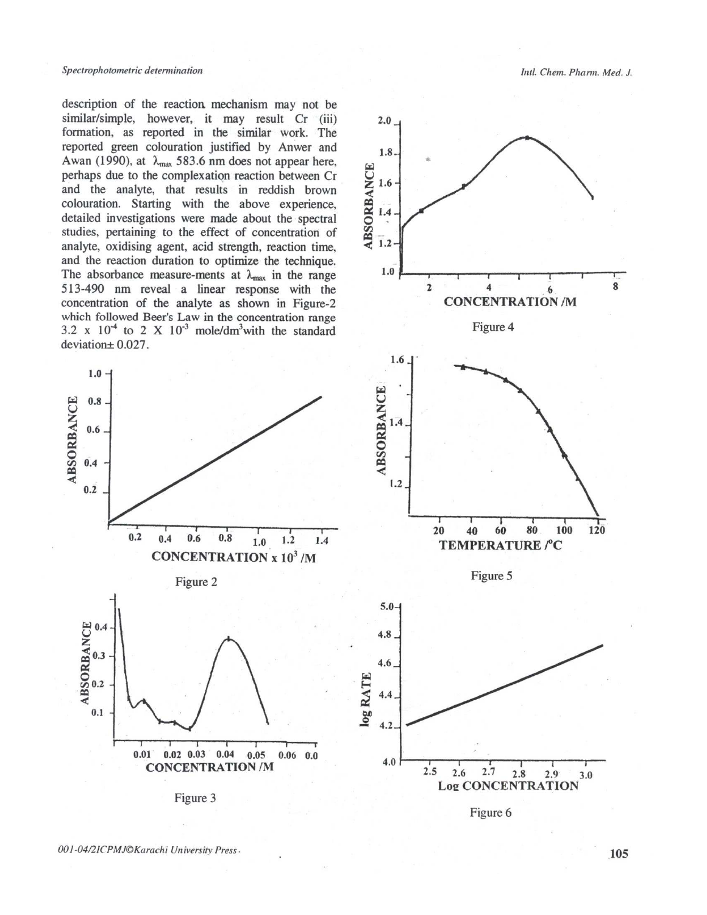description of the reaction mechanism may not be similar/simple, however, it may result Cr (iii) formation, as reported in the similar work. The reported green colouration justified by Anwer and Awan (1990), at  $\lambda_{\text{max}}$  583.6 nm does not appear here, perhaps due to the complexation reaction between Cr and the analyte, that results in reddish brown colouration. Starting with the above experience, detailed investigations were made about the spectral studies, pertaining to the effect of concentration of analyte, oxidising agent, acid strength, reaction time, and the reaction duration to optimize the technique. The absorbance measure-ments at  $\lambda_{\text{max}}$  in the range 513-490 nm reveal a linear response with the concentration of the analyte as shown in Figure-2 which followed Beer's Law in the concentration range 3.2 x  $10<sup>-4</sup>$  to 2 X  $10<sup>-3</sup>$  mole/dm<sup>3</sup>with the standard  $deviation \pm 0.027$ .







 $2.5$ 2.7  $2.6$ 2.8  $2.9$  $3.0$ **Log CONCENTRATION** 

Figure 6

 $4.2$ 

 $4.0$